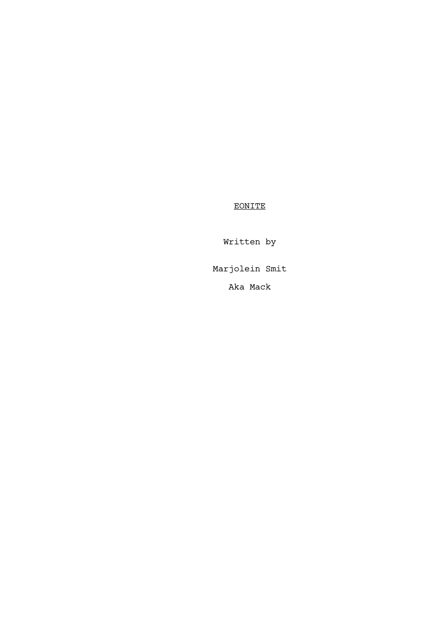EONITE

Written by

Marjolein Smit

Aka Mack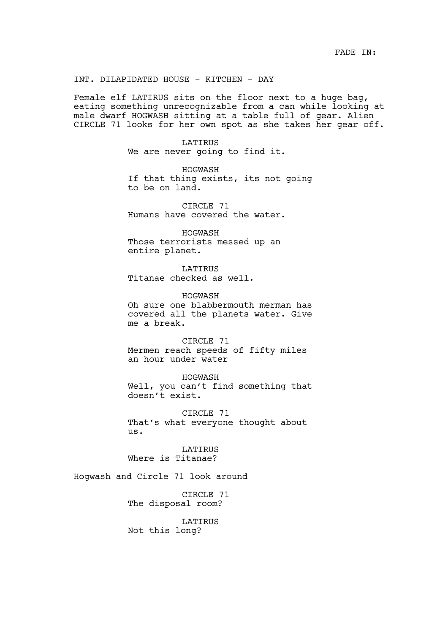INT. DILAPIDATED HOUSE - KITCHEN - DAY

Female elf LATIRUS sits on the floor next to a huge bag, eating something unrecognizable from a can while looking at male dwarf HOGWASH sitting at a table full of gear. Alien CIRCLE 71 looks for her own spot as she takes her gear off.

> LATIRUS We are never going to find it.

HOGWASH If that thing exists, its not going to be on land.

CIRCLE 71 Humans have covered the water.

HOGWASH Those terrorists messed up an entire planet.

LATIRUS Titanae checked as well.

HOGWASH Oh sure one blabbermouth merman has covered all the planets water. Give me a break.

CIRCLE 71 Mermen reach speeds of fifty miles an hour under water

HOGWASH Well, you can't find something that doesn't exist.

CIRCLE 71 That's what everyone thought about us.

LATIRUS Where is Titanae?

Hogwash and Circle 71 look around

CIRCLE 71 The disposal room?

LATIRUS Not this long?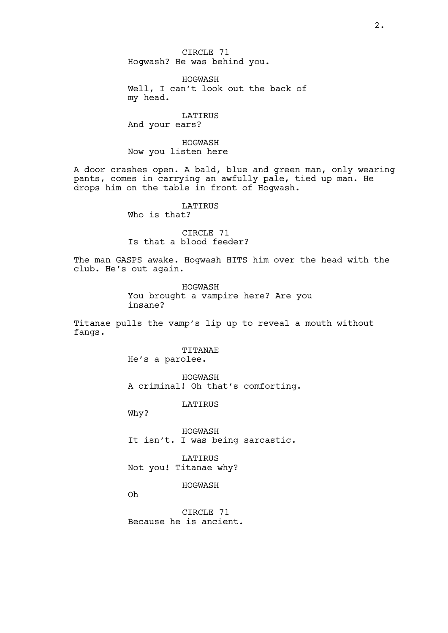CIRCLE 71 Hogwash? He was behind you.

HOGWASH Well, I can't look out the back of my head.

LATIRUS And your ears?

HOGWASH Now you listen here

A door crashes open. A bald, blue and green man, only wearing pants, comes in carrying an awfully pale, tied up man. He drops him on the table in front of Hogwash.

LATIRUS

Who is that?

CIRCLE 71 Is that a blood feeder?

The man GASPS awake. Hogwash HITS him over the head with the club. He's out again.

> HOGWASH You brought a vampire here? Are you insane?

Titanae pulls the vamp's lip up to reveal a mouth without fangs.

> TITANAE He's a parolee.

HOGWASH A criminal! Oh that's comforting.

LATIRUS

Why?

HOGWASH It isn't. I was being sarcastic.

LATIRUS Not you! Titanae why?

HOGWASH

Oh

CIRCLE 71 Because he is ancient.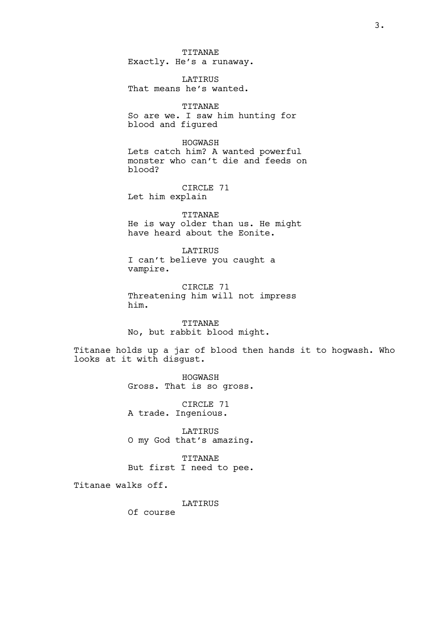TITANAE Exactly. He's a runaway.

LATIRUS That means he's wanted.

TITANAE So are we. I saw him hunting for blood and figured

HOGWASH Lets catch him? A wanted powerful monster who can't die and feeds on blood?

CIRCLE 71 Let him explain

TITANAE He is way older than us. He might have heard about the Eonite.

LATIRUS I can't believe you caught a vampire.

CIRCLE 71 Threatening him will not impress him.

TITANAE No, but rabbit blood might.

Titanae holds up a jar of blood then hands it to hogwash. Who looks at it with disgust.

> HOGWASH Gross. That is so gross.

CIRCLE 71 A trade. Ingenious.

LATIRUS O my God that's amazing.

TITANAE But first I need to pee.

Titanae walks off.

LATIRUS

Of course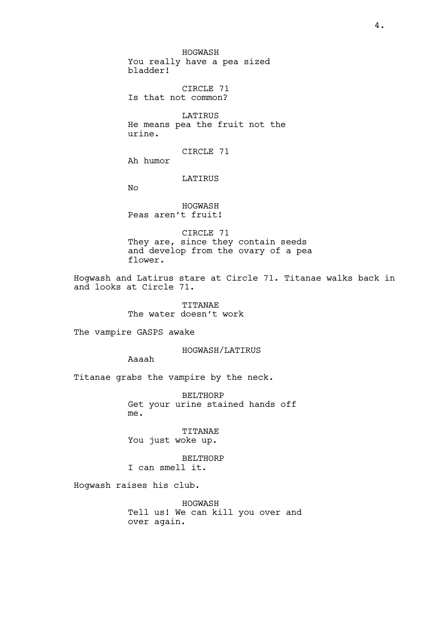HOGWASH You really have a pea sized bladder!

CIRCLE 71 Is that not common?

LATIRUS He means pea the fruit not the urine.

CIRCLE 71

Ah humor

LATIRUS

No

HOGWASH Peas aren't fruit!

CIRCLE 71 They are, since they contain seeds and develop from the ovary of a pea flower.

Hogwash and Latirus stare at Circle 71. Titanae walks back in and looks at Circle 71.

> TITANAE The water doesn't work

The vampire GASPS awake

HOGWASH/LATIRUS

Aaaah

Titanae grabs the vampire by the neck.

BELTHORP Get your urine stained hands off me.

TITANAE You just woke up.

BELTHORP I can smell it.

Hogwash raises his club.

HOGWASH Tell us! We can kill you over and over again.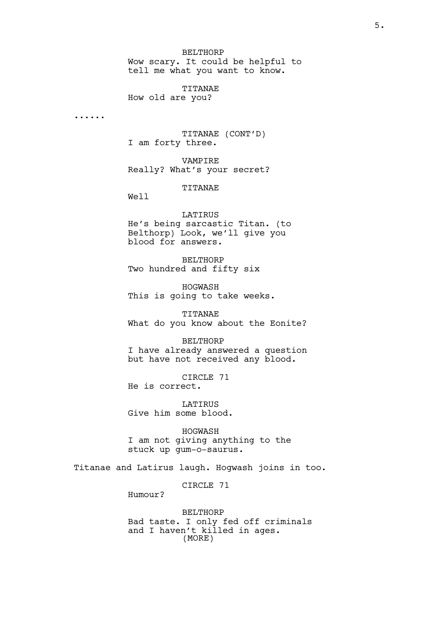BELTHORP Wow scary. It could be helpful to tell me what you want to know.

TITANAE How old are you?

......

TITANAE (CONT'D) I am forty three.

VAMPIRE Really? What's your secret?

TITANAE

Well

LATIRUS

He's being sarcastic Titan. (to Belthorp) Look, we'll give you blood for answers.

BELTHORP Two hundred and fifty six

HOGWASH This is going to take weeks.

TITANAE What do you know about the Eonite?

BELTHORP I have already answered a question but have not received any blood.

CIRCLE 71 He is correct.

LATIRUS Give him some blood.

HOGWASH I am not giving anything to the stuck up gum-o-saurus.

Titanae and Latirus laugh. Hogwash joins in too.

CIRCLE 71

Humour?

BELTHORP Bad taste. I only fed off criminals and I haven't killed in ages. (MORE)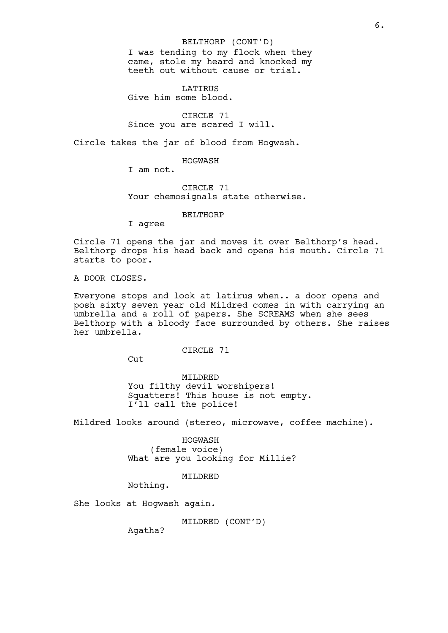BELTHORP (CONT'D)

I was tending to my flock when they came, stole my heard and knocked my teeth out without cause or trial.

**LATIRUS** Give him some blood.

CIRCLE 71 Since you are scared I will.

Circle takes the jar of blood from Hogwash.

HOGWASH

I am not.

CIRCLE 71 Your chemosignals state otherwise.

BELTHORP

I agree

Circle 71 opens the jar and moves it over Belthorp's head. Belthorp drops his head back and opens his mouth. Circle 71 starts to poor.

A DOOR CLOSES.

Everyone stops and look at latirus when.. a door opens and posh sixty seven year old Mildred comes in with carrying an umbrella and a roll of papers. She SCREAMS when she sees Belthorp with a bloody face surrounded by others. She raises her umbrella.

## CIRCLE 71

 $Cut$ 

MILDRED You filthy devil worshipers! Squatters! This house is not empty. I'll call the police!

Mildred looks around (stereo, microwave, coffee machine).

HOGWASH (female voice) What are you looking for Millie?

MILDRED

Nothing.

She looks at Hogwash again.

MILDRED (CONT'D)

Agatha?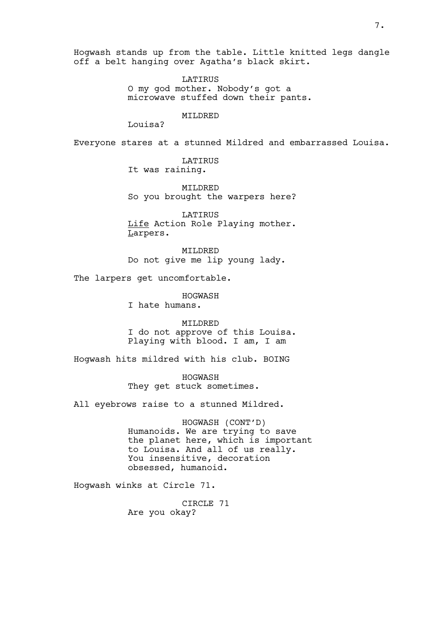Hogwash stands up from the table. Little knitted legs dangle off a belt hanging over Agatha's black skirt.

> LATIRUS O my god mother. Nobody's got a microwave stuffed down their pants.

## MILDRED

Louisa?

Everyone stares at a stunned Mildred and embarrassed Louisa.

LATIRUS It was raining.

MILDRED So you brought the warpers here?

LATIRUS Life Action Role Playing mother. Larpers.

MILDRED Do not give me lip young lady.

The larpers get uncomfortable.

HOGWASH

I hate humans.

MILDRED I do not approve of this Louisa. Playing with blood. I am, I am

Hogwash hits mildred with his club. BOING

HOGWASH They get stuck sometimes.

All eyebrows raise to a stunned Mildred.

HOGWASH (CONT'D) Humanoids. We are trying to save the planet here, which is important to Louisa. And all of us really. You insensitive, decoration obsessed, humanoid.

Hogwash winks at Circle 71.

CIRCLE 71 Are you okay?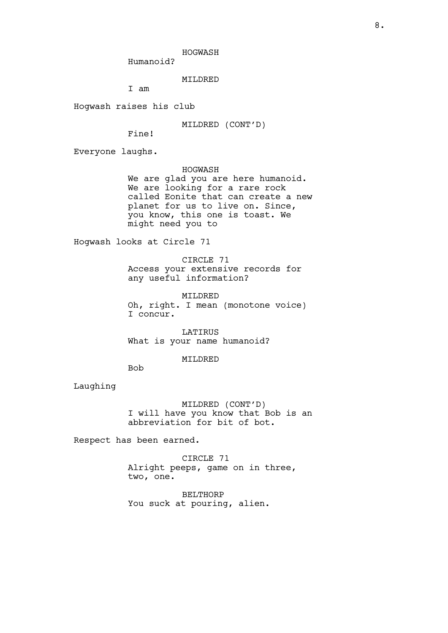HOGWASH

Humanoid?

MILDRED

I am

Hogwash raises his club

MILDRED (CONT'D)

Fine!

Everyone laughs.

HOGWASH We are glad you are here humanoid. We are looking for a rare rock called Eonite that can create a new planet for us to live on. Since, you know, this one is toast. We might need you to

Hogwash looks at Circle 71

CIRCLE 71 Access your extensive records for any useful information?

MILDRED Oh, right. I mean (monotone voice) I concur.

LATIRUS What is your name humanoid?

## MILDRED

Bob

Laughing

MILDRED (CONT'D) I will have you know that Bob is an abbreviation for bit of bot.

Respect has been earned.

CIRCLE 71 Alright peeps, game on in three, two, one.

BELTHORP You suck at pouring, alien.